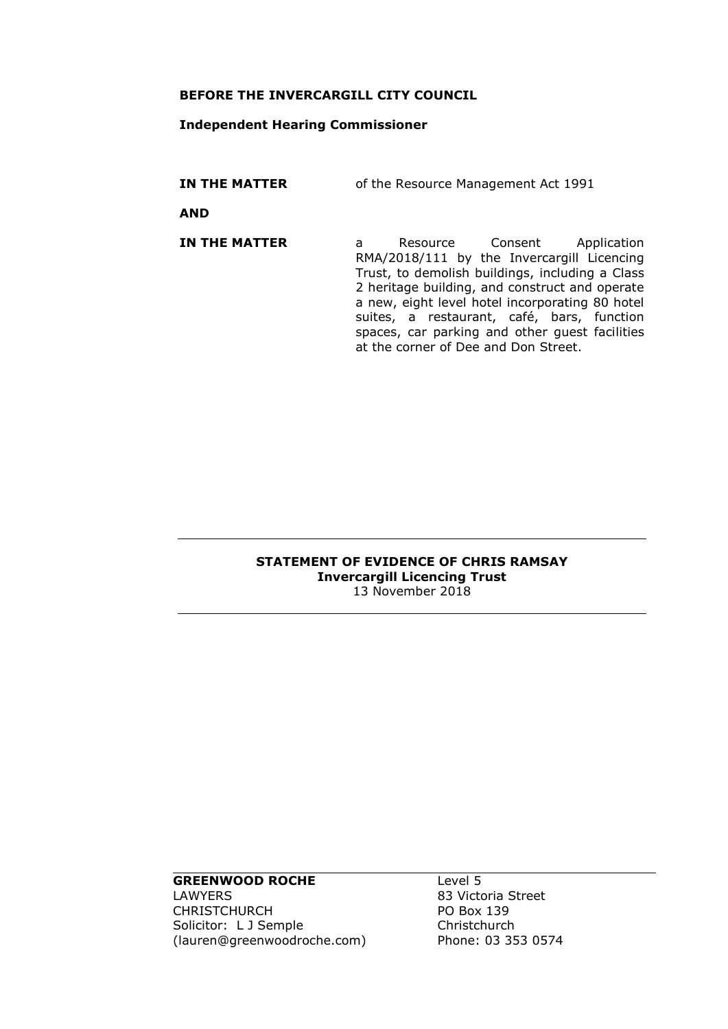#### **BEFORE THE INVERCARGILL CITY COUNCIL**

#### **Independent Hearing Commissioner**

**IN THE MATTER** of the Resource Management Act 1991

**AND**

**IN THE MATTER** a Resource Consent Application RMA/2018/111 by the Invercargill Licencing Trust, to demolish buildings, including a Class 2 heritage building, and construct and operate a new, eight level hotel incorporating 80 hotel suites, a restaurant, café, bars, function spaces, car parking and other guest facilities at the corner of Dee and Don Street.

#### **STATEMENT OF EVIDENCE OF CHRIS RAMSAY Invercargill Licencing Trust** 13 November 2018

#### **GREENWOOD ROCHE**

LAWYERS CHRISTCHURCH Solicitor: L J Semple (lauren@greenwoodroche.com) Level 5 83 Victoria Street PO Box 139 **Christchurch** Phone: 03 353 0574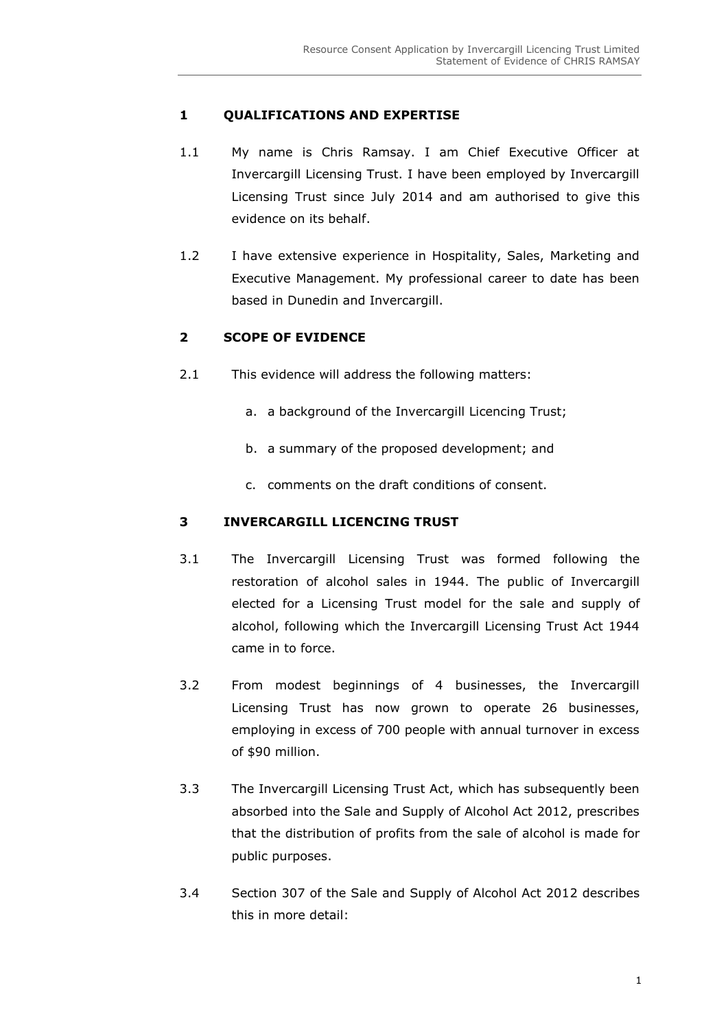# **1 QUALIFICATIONS AND EXPERTISE**

- 1.1 My name is Chris Ramsay. I am Chief Executive Officer at Invercargill Licensing Trust. I have been employed by Invercargill Licensing Trust since July 2014 and am authorised to give this evidence on its behalf.
- 1.2 I have extensive experience in Hospitality, Sales, Marketing and Executive Management. My professional career to date has been based in Dunedin and Invercargill.

# **2 SCOPE OF EVIDENCE**

- 2.1 This evidence will address the following matters:
	- a. a background of the Invercargill Licencing Trust;
	- b. a summary of the proposed development; and
	- c. comments on the draft conditions of consent.

## **3 INVERCARGILL LICENCING TRUST**

- 3.1 The Invercargill Licensing Trust was formed following the restoration of alcohol sales in 1944. The public of Invercargill elected for a Licensing Trust model for the sale and supply of alcohol, following which the Invercargill Licensing Trust Act 1944 came in to force.
- 3.2 From modest beginnings of 4 businesses, the Invercargill Licensing Trust has now grown to operate 26 businesses, employing in excess of 700 people with annual turnover in excess of \$90 million.
- 3.3 The Invercargill Licensing Trust Act, which has subsequently been absorbed into the Sale and Supply of Alcohol Act 2012, prescribes that the distribution of profits from the sale of alcohol is made for public purposes.
- 3.4 Section 307 of the Sale and Supply of Alcohol Act 2012 describes this in more detail: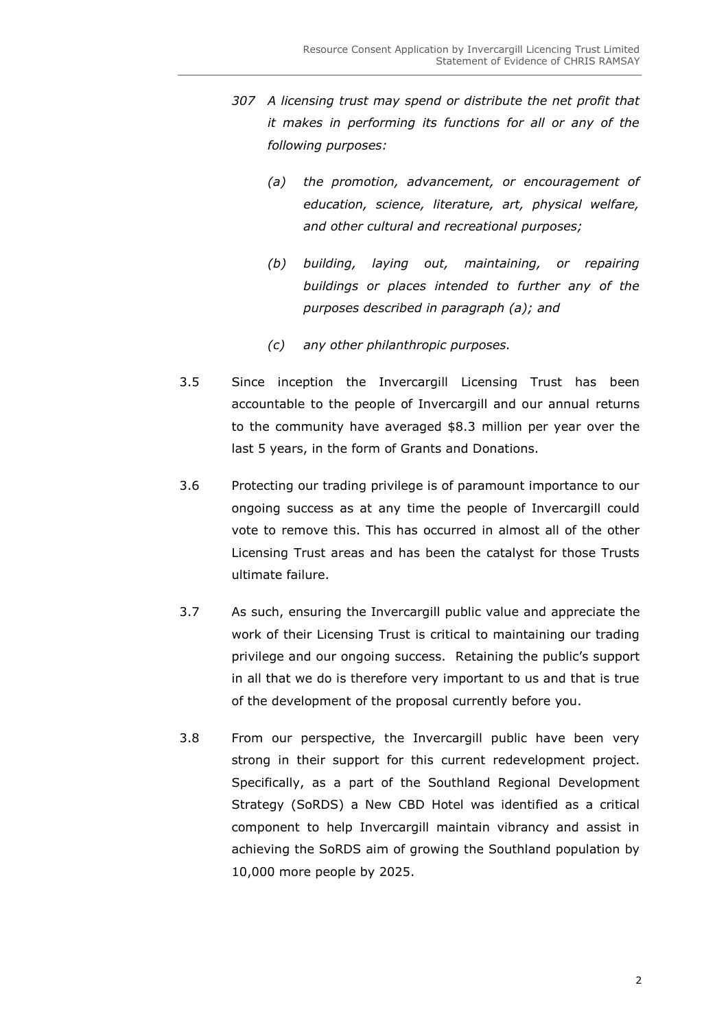- *307 A licensing trust may spend or distribute the net profit that it makes in performing its functions for all or any of the following purposes:*
	- *(a) the promotion, advancement, or encouragement of education, science, literature, art, physical welfare, and other cultural and recreational purposes;*
	- *(b) building, laying out, maintaining, or repairing buildings or places intended to further any of the purposes described in paragraph (a); and*
	- *(c) any other philanthropic purposes.*
- 3.5 Since inception the Invercargill Licensing Trust has been accountable to the people of Invercargill and our annual returns to the community have averaged \$8.3 million per year over the last 5 years, in the form of Grants and Donations.
- 3.6 Protecting our trading privilege is of paramount importance to our ongoing success as at any time the people of Invercargill could vote to remove this. This has occurred in almost all of the other Licensing Trust areas and has been the catalyst for those Trusts ultimate failure.
- 3.7 As such, ensuring the Invercargill public value and appreciate the work of their Licensing Trust is critical to maintaining our trading privilege and our ongoing success. Retaining the public's support in all that we do is therefore very important to us and that is true of the development of the proposal currently before you.
- 3.8 From our perspective, the Invercargill public have been very strong in their support for this current redevelopment project. Specifically, as a part of the Southland Regional Development Strategy (SoRDS) a New CBD Hotel was identified as a critical component to help Invercargill maintain vibrancy and assist in achieving the SoRDS aim of growing the Southland population by 10,000 more people by 2025.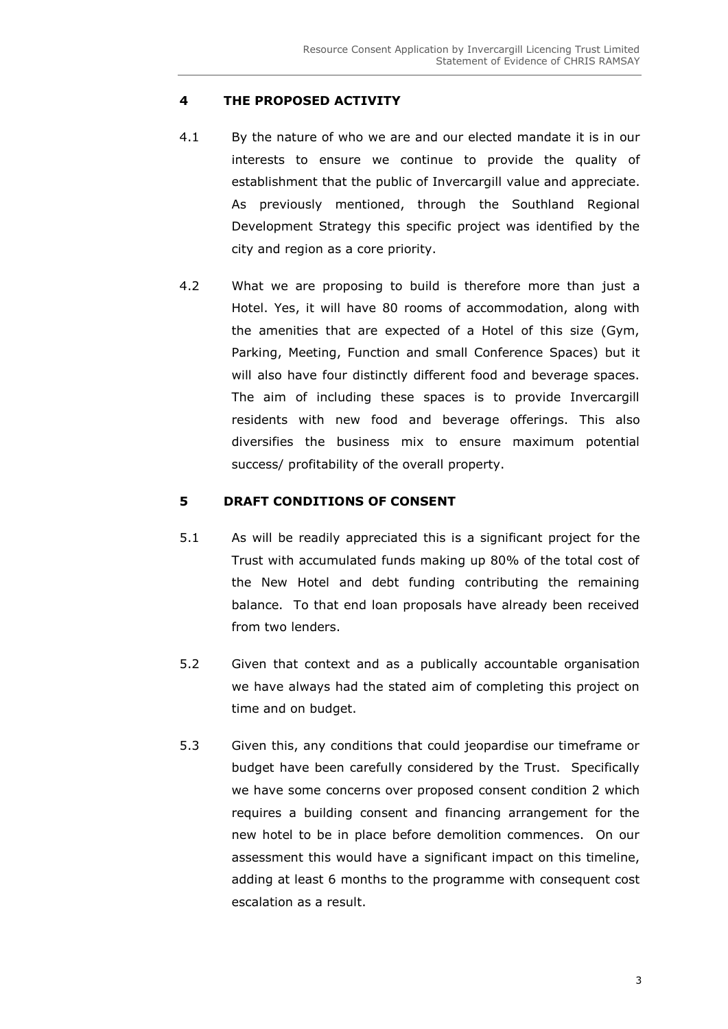## **4 THE PROPOSED ACTIVITY**

- 4.1 By the nature of who we are and our elected mandate it is in our interests to ensure we continue to provide the quality of establishment that the public of Invercargill value and appreciate. As previously mentioned, through the Southland Regional Development Strategy this specific project was identified by the city and region as a core priority.
- 4.2 What we are proposing to build is therefore more than just a Hotel. Yes, it will have 80 rooms of accommodation, along with the amenities that are expected of a Hotel of this size (Gym, Parking, Meeting, Function and small Conference Spaces) but it will also have four distinctly different food and beverage spaces. The aim of including these spaces is to provide Invercargill residents with new food and beverage offerings. This also diversifies the business mix to ensure maximum potential success/ profitability of the overall property.

### **5 DRAFT CONDITIONS OF CONSENT**

- 5.1 As will be readily appreciated this is a significant project for the Trust with accumulated funds making up 80% of the total cost of the New Hotel and debt funding contributing the remaining balance. To that end loan proposals have already been received from two lenders.
- 5.2 Given that context and as a publically accountable organisation we have always had the stated aim of completing this project on time and on budget.
- 5.3 Given this, any conditions that could jeopardise our timeframe or budget have been carefully considered by the Trust. Specifically we have some concerns over proposed consent condition 2 which requires a building consent and financing arrangement for the new hotel to be in place before demolition commences. On our assessment this would have a significant impact on this timeline, adding at least 6 months to the programme with consequent cost escalation as a result.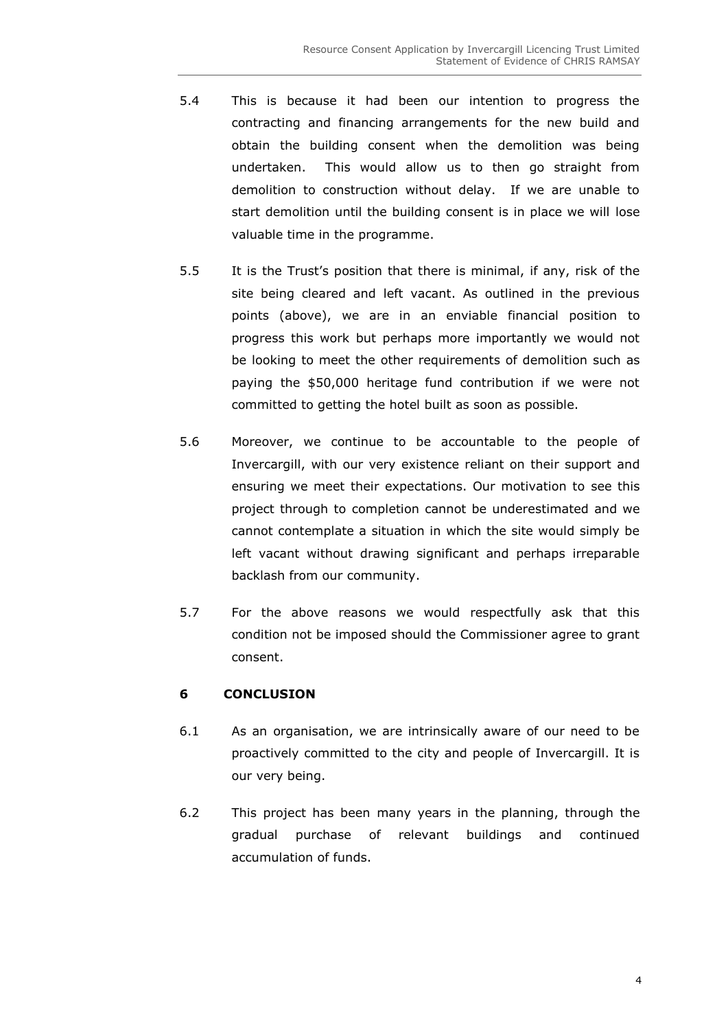- 5.4 This is because it had been our intention to progress the contracting and financing arrangements for the new build and obtain the building consent when the demolition was being undertaken. This would allow us to then go straight from demolition to construction without delay. If we are unable to start demolition until the building consent is in place we will lose valuable time in the programme.
- 5.5 It is the Trust's position that there is minimal, if any, risk of the site being cleared and left vacant. As outlined in the previous points (above), we are in an enviable financial position to progress this work but perhaps more importantly we would not be looking to meet the other requirements of demolition such as paying the \$50,000 heritage fund contribution if we were not committed to getting the hotel built as soon as possible.
- 5.6 Moreover, we continue to be accountable to the people of Invercargill, with our very existence reliant on their support and ensuring we meet their expectations. Our motivation to see this project through to completion cannot be underestimated and we cannot contemplate a situation in which the site would simply be left vacant without drawing significant and perhaps irreparable backlash from our community.
- 5.7 For the above reasons we would respectfully ask that this condition not be imposed should the Commissioner agree to grant consent.

## **6 CONCLUSION**

- 6.1 As an organisation, we are intrinsically aware of our need to be proactively committed to the city and people of Invercargill. It is our very being.
- 6.2 This project has been many years in the planning, through the gradual purchase of relevant buildings and continued accumulation of funds.